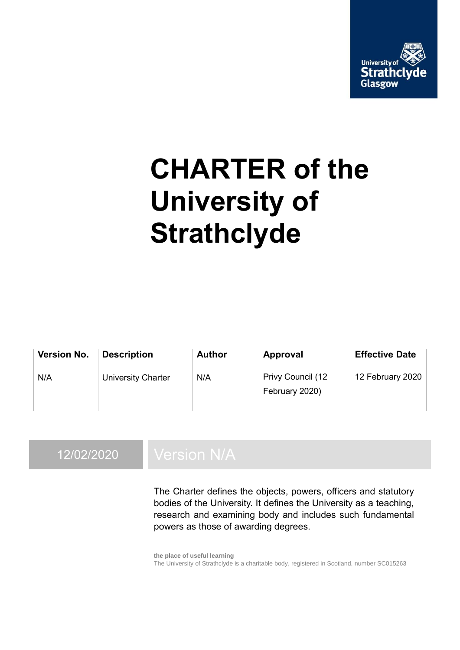

# **CHARTER of the University of Strathclyde**

| <b>Version No.</b> | <b>Description</b> | <b>Author</b> | Approval                            | <b>Effective Date</b> |
|--------------------|--------------------|---------------|-------------------------------------|-----------------------|
| N/A                | University Charter | N/A           | Privy Council (12<br>February 2020) | 12 February 2020      |

# 12/02/2020 Version N/A

The Charter defines the objects, powers, officers and statutory bodies of the University. It defines the University as a teaching, research and examining body and includes such fundamental powers as those of awarding degrees.

**the place of useful learning** The University of Strathclyde is a charitable body, registered in Scotland, number SC015263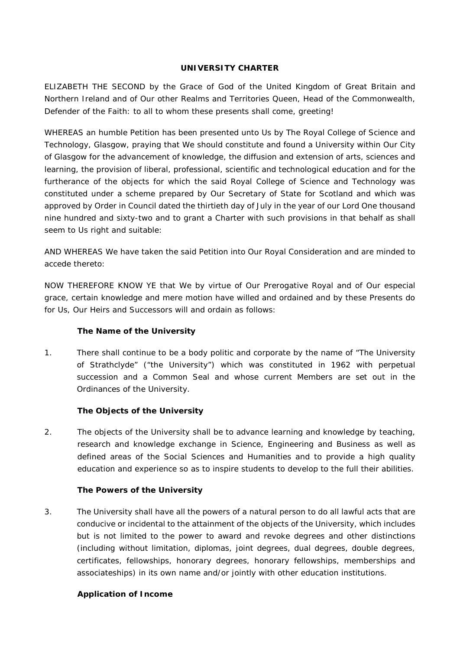#### **UNIVERSITY CHARTER**

ELIZABETH THE SECOND by the Grace of God of the United Kingdom of Great Britain and Northern Ireland and of Our other Realms and Territories Queen, Head of the Commonwealth, Defender of the Faith: to all to whom these presents shall come, greeting!

WHEREAS an humble Petition has been presented unto Us by The Royal College of Science and Technology, Glasgow, praying that We should constitute and found a University within Our City of Glasgow for the advancement of knowledge, the diffusion and extension of arts, sciences and learning, the provision of liberal, professional, scientific and technological education and for the furtherance of the objects for which the said Royal College of Science and Technology was constituted under a scheme prepared by Our Secretary of State for Scotland and which was approved by Order in Council dated the thirtieth day of July in the year of our Lord One thousand nine hundred and sixty-two and to grant a Charter with such provisions in that behalf as shall seem to Us right and suitable:

AND WHEREAS We have taken the said Petition into Our Royal Consideration and are minded to accede thereto:

NOW THEREFORE KNOW YE that We by virtue of Our Prerogative Royal and of Our especial grace, certain knowledge and mere motion have willed and ordained and by these Presents do for Us, Our Heirs and Successors will and ordain as follows:

# **The Name of the University**

1. There shall continue to be a body politic and corporate by the name of "The University of Strathclyde" ("the University") which was constituted in 1962 with perpetual succession and a Common Seal and whose current Members are set out in the Ordinances of the University.

#### **The Objects of the University**

2. The objects of the University shall be to advance learning and knowledge by teaching, research and knowledge exchange in Science, Engineering and Business as well as defined areas of the Social Sciences and Humanities and to provide a high quality education and experience so as to inspire students to develop to the full their abilities.

#### **The Powers of the University**

3. The University shall have all the powers of a natural person to do all lawful acts that are conducive or incidental to the attainment of the objects of the University, which includes but is not limited to the power to award and revoke degrees and other distinctions (including without limitation, diplomas, joint degrees, dual degrees, double degrees, certificates, fellowships, honorary degrees, honorary fellowships, memberships and associateships) in its own name and/or jointly with other education institutions.

#### **Application of Income**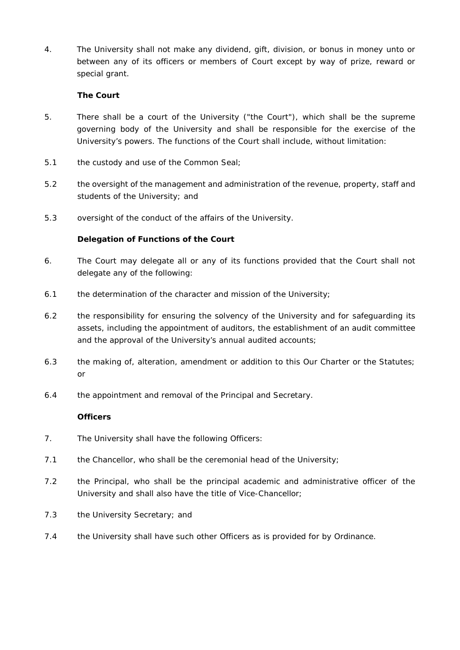4. The University shall not make any dividend, gift, division, or bonus in money unto or between any of its officers or members of Court except by way of prize, reward or special grant.

#### **The Court**

- 5. There shall be a court of the University ("the Court"), which shall be the supreme governing body of the University and shall be responsible for the exercise of the University's powers. The functions of the Court shall include, without limitation:
- 5.1 the custody and use of the Common Seal;
- 5.2 the oversight of the management and administration of the revenue, property, staff and students of the University; and
- 5.3 oversight of the conduct of the affairs of the University.

# **Delegation of Functions of the Court**

- 6. The Court may delegate all or any of its functions provided that the Court shall not delegate any of the following:
- 6.1 the determination of the character and mission of the University;
- 6.2 the responsibility for ensuring the solvency of the University and for safeguarding its assets, including the appointment of auditors, the establishment of an audit committee and the approval of the University's annual audited accounts;
- 6.3 the making of, alteration, amendment or addition to this Our Charter or the Statutes; or
- 6.4 the appointment and removal of the Principal and Secretary.

# **Officers**

- 7. The University shall have the following Officers:
- 7.1 *the Chancellor, who shall be the ceremonial head of the University;*
- 7.2 *the Principal, who shall be the principal academic and administrative officer of the University and shall also have the title of Vice-Chancellor;*
- 7.3 *the University Secretary; and*
- 7.4 *the University shall have such other Officers as is provided for by Ordinance.*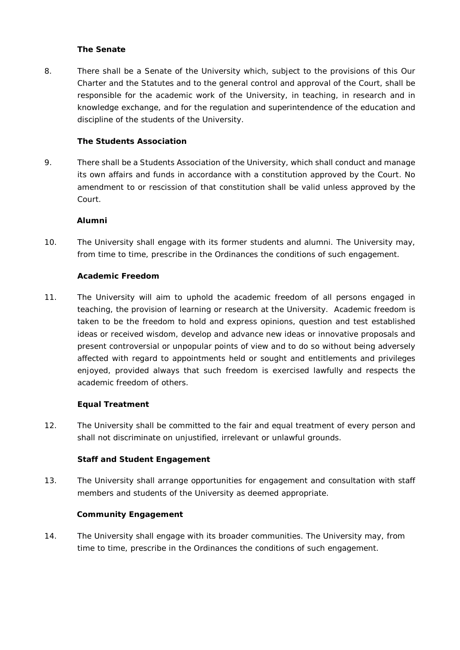# **The Senate**

8. There shall be a Senate of the University which, subject to the provisions of this Our Charter and the Statutes and to the general control and approval of the Court, shall be responsible for the academic work of the University, in teaching, in research and in knowledge exchange, and for the regulation and superintendence of the education and discipline of the students of the University.

#### **The Students Association**

9. There shall be a Students Association of the University, which shall conduct and manage its own affairs and funds in accordance with a constitution approved by the Court. No amendment to or rescission of that constitution shall be valid unless approved by the Court.

#### **Alumni**

10. The University shall engage with its former students and alumni. The University may, from time to time, prescribe in the Ordinances the conditions of such engagement.

#### **Academic Freedom**

11. The University will aim to uphold the academic freedom of all persons engaged in teaching, the provision of learning or research at the University. Academic freedom is taken to be the freedom to hold and express opinions, question and test established ideas or received wisdom, develop and advance new ideas or innovative proposals and present controversial or unpopular points of view and to do so without being adversely affected with regard to appointments held or sought and entitlements and privileges enjoyed, provided always that such freedom is exercised lawfully and respects the academic freedom of others.

#### **Equal Treatment**

12. The University shall be committed to the fair and equal treatment of every person and shall not discriminate on unjustified, irrelevant or unlawful grounds.

#### **Staff and Student Engagement**

13. The University shall arrange opportunities for engagement and consultation with staff members and students of the University as deemed appropriate.

#### **Community Engagement**

14. The University shall engage with its broader communities. The University may, from time to time, prescribe in the Ordinances the conditions of such engagement.